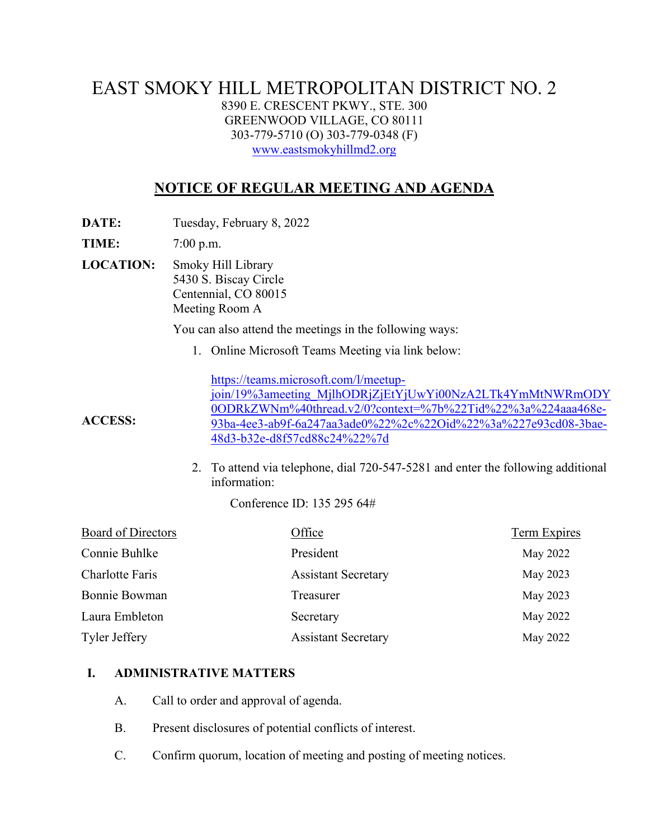## EAST SMOKY HILL METROPOLITAN DISTRICT NO. 2 8390 E. CRESCENT PKWY., STE. 300 GREENWOOD VILLAGE, CO 80111 303-779-5710 (O) 303-779-0348 (F) [www.eastsmokyhillmd2.org](http://www.eastsmokyhillmd2.org/)

# **NOTICE OF REGULAR MEETING AND AGENDA**

**DATE:** Tuesday, February 8, 2022

**TIME:** 7:00 p.m.

**LOCATION:** Smoky Hill Library 5430 S. Biscay Circle Centennial, CO 80015 Meeting Room A

You can also attend the meetings in the following ways:

1. Online Microsoft Teams Meeting via link below:

[https://teams.microsoft.com/l/meetup](https://teams.microsoft.com/l/meetup-join/19%3ameeting_MjlhODRjZjEtYjUwYi00NzA2LTk4YmMtNWRmODY0ODRkZWNm%40thread.v2/0?context=%7b%22Tid%22%3a%224aaa468e-93ba-4ee3-ab9f-6a247aa3ade0%22%2c%22Oid%22%3a%227e93cd08-3bae-48d3-b32e-d8f57cd88c24%22%7d)[join/19%3ameeting\\_MjlhODRjZjEtYjUwYi00NzA2LTk4YmMtNWRmODY](https://teams.microsoft.com/l/meetup-join/19%3ameeting_MjlhODRjZjEtYjUwYi00NzA2LTk4YmMtNWRmODY0ODRkZWNm%40thread.v2/0?context=%7b%22Tid%22%3a%224aaa468e-93ba-4ee3-ab9f-6a247aa3ade0%22%2c%22Oid%22%3a%227e93cd08-3bae-48d3-b32e-d8f57cd88c24%22%7d) [0ODRkZWNm%40thread.v2/0?context=%7b%22Tid%22%3a%224aaa468e-](https://teams.microsoft.com/l/meetup-join/19%3ameeting_MjlhODRjZjEtYjUwYi00NzA2LTk4YmMtNWRmODY0ODRkZWNm%40thread.v2/0?context=%7b%22Tid%22%3a%224aaa468e-93ba-4ee3-ab9f-6a247aa3ade0%22%2c%22Oid%22%3a%227e93cd08-3bae-48d3-b32e-d8f57cd88c24%22%7d)[93ba-4ee3-ab9f-6a247aa3ade0%22%2c%22Oid%22%3a%227e93cd08-3bae-](https://teams.microsoft.com/l/meetup-join/19%3ameeting_MjlhODRjZjEtYjUwYi00NzA2LTk4YmMtNWRmODY0ODRkZWNm%40thread.v2/0?context=%7b%22Tid%22%3a%224aaa468e-93ba-4ee3-ab9f-6a247aa3ade0%22%2c%22Oid%22%3a%227e93cd08-3bae-48d3-b32e-d8f57cd88c24%22%7d)[48d3-b32e-d8f57cd88c24%22%7d](https://teams.microsoft.com/l/meetup-join/19%3ameeting_MjlhODRjZjEtYjUwYi00NzA2LTk4YmMtNWRmODY0ODRkZWNm%40thread.v2/0?context=%7b%22Tid%22%3a%224aaa468e-93ba-4ee3-ab9f-6a247aa3ade0%22%2c%22Oid%22%3a%227e93cd08-3bae-48d3-b32e-d8f57cd88c24%22%7d)

2. To attend via telephone, dial 720-547-5281 and enter the following additional information:

Conference ID: 135 295 64#

| Board of Directors   | Office                     | Term Expires |
|----------------------|----------------------------|--------------|
| Connie Buhlke        | President                  | May 2022     |
| Charlotte Faris      | <b>Assistant Secretary</b> | May 2023     |
| Bonnie Bowman        | Treasurer                  | May 2023     |
| Laura Embleton       | Secretary                  | May 2022     |
| <b>Tyler Jeffery</b> | <b>Assistant Secretary</b> | May 2022     |

#### **I. ADMINISTRATIVE MATTERS**

- A. Call to order and approval of agenda.
- B. Present disclosures of potential conflicts of interest.
- C. Confirm quorum, location of meeting and posting of meeting notices.

**ACCESS:**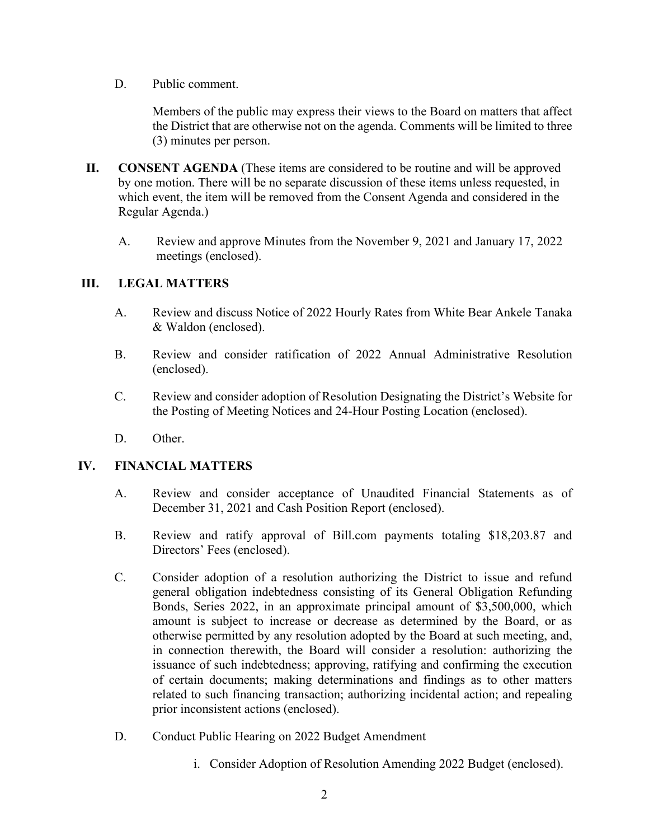D. Public comment.

Members of the public may express their views to the Board on matters that affect the District that are otherwise not on the agenda. Comments will be limited to three (3) minutes per person.

- **II. CONSENT AGENDA** (These items are considered to be routine and will be approved by one motion. There will be no separate discussion of these items unless requested, in which event, the item will be removed from the Consent Agenda and considered in the Regular Agenda.)
	- A. Review and approve Minutes from the November 9, 2021 and January 17, 2022 meetings (enclosed).

## **III. LEGAL MATTERS**

- A. Review and discuss Notice of 2022 Hourly Rates from White Bear Ankele Tanaka & Waldon (enclosed).
- B. Review and consider ratification of 2022 Annual Administrative Resolution (enclosed).
- C. Review and consider adoption of Resolution Designating the District's Website for the Posting of Meeting Notices and 24-Hour Posting Location (enclosed).
- D. Other.

#### **IV. FINANCIAL MATTERS**

- A. Review and consider acceptance of Unaudited Financial Statements as of December 31, 2021 and Cash Position Report (enclosed).
- B. Review and ratify approval of Bill.com payments totaling \$18,203.87 and Directors' Fees (enclosed).
- C. Consider adoption of a resolution authorizing the District to issue and refund general obligation indebtedness consisting of its General Obligation Refunding Bonds, Series 2022, in an approximate principal amount of \$3,500,000, which amount is subject to increase or decrease as determined by the Board, or as otherwise permitted by any resolution adopted by the Board at such meeting, and, in connection therewith, the Board will consider a resolution: authorizing the issuance of such indebtedness; approving, ratifying and confirming the execution of certain documents; making determinations and findings as to other matters related to such financing transaction; authorizing incidental action; and repealing prior inconsistent actions (enclosed).
- D. Conduct Public Hearing on 2022 Budget Amendment
	- i. Consider Adoption of Resolution Amending 2022 Budget (enclosed).